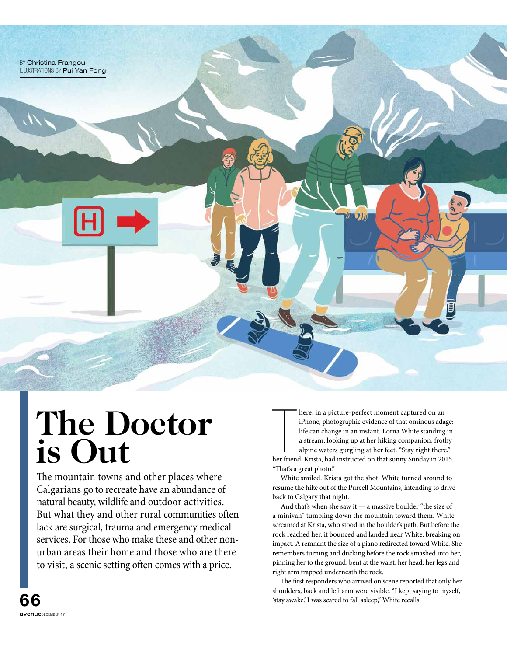

## **The Doctor is Out**

The mountain towns and other places where Calgarians go to recreate have an abundance of natural beauty, wildlife and outdoor activities. But what they and other rural communities often lack are surgical, trauma and emergency medical services. For those who make these and other nonurban areas their home and those who are there to visit, a scenic setting often comes with a price.

here, in a picture-perfect moment captured on an iPhone, photographic evidence of that ominous adage:<br>life can change in an instant. Lorna White standing in<br>a stream, looking up at her hiking companion, frothy<br>alpine water here, in a picture-perfect moment captured on an iPhone, photographic evidence of that ominous adage: life can change in an instant. Lorna White standing in a stream, looking up at her hiking companion, frothy alpine waters gurgling at her feet. "Stay right there," "That's a great photo."

White smiled. Krista got the shot. White turned around to resume the hike out of the Purcell Mountains, intending to drive back to Calgary that night.

And that's when she saw it — a massive boulder "the size of a minivan" tumbling down the mountain toward them. White screamed at Krista, who stood in the boulder's path. But before the rock reached her, it bounced and landed near White, breaking on impact. A remnant the size of a piano redirected toward White. She remembers turning and ducking before the rock smashed into her, pinning her to the ground, bent at the waist, her head, her legs and right arm trapped underneath the rock.

The first responders who arrived on scene reported that only her shoulders, back and left arm were visible. "I kept saying to myself, 'stay awake.' I was scared to fall asleep," White recalls.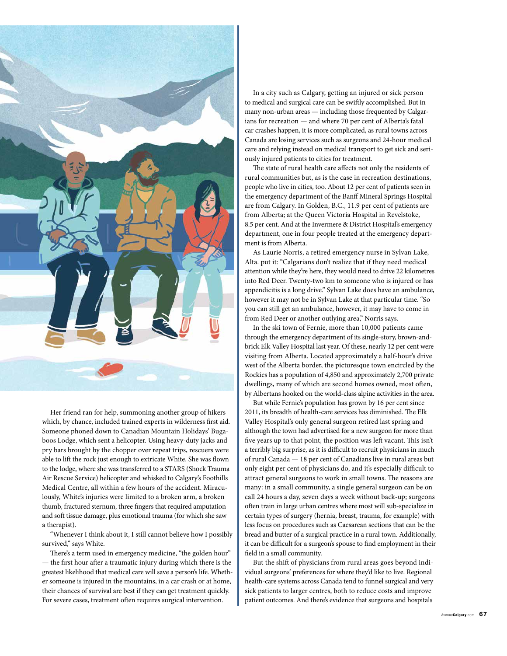

Her friend ran for help, summoning another group of hikers which, by chance, included trained experts in wilderness frst aid. Someone phoned down to Canadian Mountain Holidays' Bugaboos Lodge, which sent a helicopter. Using heavy-duty jacks and pry bars brought by the chopper over repeat trips, rescuers were able to lift the rock just enough to extricate White. She was flown to the lodge, where she was transferred to a STARS (Shock Trauma Air Rescue Service) helicopter and whisked to Calgary's Foothills Medical Centre, all within a few hours of the accident. Miraculously, White's injuries were limited to a broken arm, a broken thumb, fractured sternum, three fngers that required amputation and soft tissue damage, plus emotional trauma (for which she saw a therapist).

"Whenever I think about it, I still cannot believe how I possibly survived," says White.

There's a term used in emergency medicine, "the golden hour" — the frst hour afer a traumatic injury during which there is the greatest likelihood that medical care will save a person's life. Whether someone is injured in the mountains, in a car crash or at home, their chances of survival are best if they can get treatment quickly. For severe cases, treatment often requires surgical intervention.

In a city such as Calgary, getting an injured or sick person to medical and surgical care can be swifly accomplished. But in many non-urban areas — including those frequented by Calgarians for recreation — and where 70 per cent of Alberta's fatal car crashes happen, it is more complicated, as rural towns across Canada are losing services such as surgeons and 24-hour medical care and relying instead on medical transport to get sick and seriously injured patients to cities for treatment.

The state of rural health care affects not only the residents of rural communities but, as is the case in recreation destinations, people who live in cities, too. About 12 per cent of patients seen in the emergency department of the Banff Mineral Springs Hospital are from Calgary. In Golden, B.C., 11.9 per cent of patients are from Alberta; at the Queen Victoria Hospital in Revelstoke, 8.5 per cent. And at the Invermere & District Hospital's emergency department, one in four people treated at the emergency department is from Alberta.

As Laurie Norris, a retired emergency nurse in Sylvan Lake, Alta. put it: "Calgarians don't realize that if they need medical attention while they're here, they would need to drive 22 kilometres into Red Deer. Twenty-two km to someone who is injured or has appendicitis is a long drive." Sylvan Lake does have an ambulance, however it may not be in Sylvan Lake at that particular time. "So you can still get an ambulance, however, it may have to come in from Red Deer or another outlying area," Norris says.

In the ski town of Fernie, more than 10,000 patients came through the emergency department of its single-story, brown-andbrick Elk Valley Hospital last year. Of these, nearly 12 per cent were visiting from Alberta. Located approximately a half-hour's drive west of the Alberta border, the picturesque town encircled by the Rockies has a population of 4,850 and approximately 2,700 private dwellings, many of which are second homes owned, most often, by Albertans hooked on the world-class alpine activities in the area.

But while Fernie's population has grown by 16 per cent since 2011, its breadth of health-care services has diminished. The Elk Valley Hospital's only general surgeon retired last spring and although the town had advertised for a new surgeon for more than five years up to that point, the position was left vacant. This isn't a terribly big surprise, as it is difficult to recruit physicians in much of rural Canada — 18 per cent of Canadians live in rural areas but only eight per cent of physicians do, and it's especially difficult to attract general surgeons to work in small towns. The reasons are many: in a small community, a single general surgeon can be on call 24 hours a day, seven days a week without back-up; surgeons ofen train in large urban centres where most will sub-specialize in certain types of surgery (hernia, breast, trauma, for example) with less focus on procedures such as Caesarean sections that can be the bread and butter of a surgical practice in a rural town. Additionally, it can be difficult for a surgeon's spouse to find employment in their feld in a small community.

But the shift of physicians from rural areas goes beyond individual surgeons' preferences for where they'd like to live. Regional health-care systems across Canada tend to funnel surgical and very sick patients to larger centres, both to reduce costs and improve patient outcomes. And there's evidence that surgeons and hospitals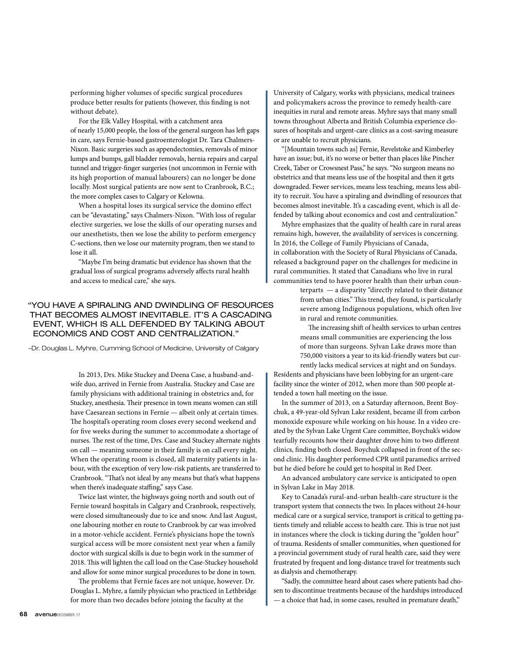performing higher volumes of specifc surgical procedures produce better results for patients (however, this fnding is not without debate).

For the Elk Valley Hospital, with a catchment area of nearly 15,000 people, the loss of the general surgeon has left gaps in care, says Fernie-based gastroenterologist Dr. Tara Chalmers-Nixon. Basic surgeries such as appendectomies, removals of minor lumps and bumps, gall bladder removals, hernia repairs and carpal tunnel and trigger-fnger surgeries (not uncommon in Fernie with its high proportion of manual labourers) can no longer be done locally. Most surgical patients are now sent to Cranbrook, B.C.; the more complex cases to Calgary or Kelowna.

When a hospital loses its surgical service the domino efect can be "devastating," says Chalmers-Nixon. "With loss of regular elective surgeries, we lose the skills of our operating nurses and our anesthetists, then we lose the ability to perform emergency C-sections, then we lose our maternity program, then we stand to lose it all.

"Maybe I'm being dramatic but evidence has shown that the gradual loss of surgical programs adversely afects rural health and access to medical care," she says.

## "YOU HAVE A SPIRALING AND DWINDLING OF RESOURCES THAT BECOMES ALMOST INEVITABLE. IT'S A CASCADING EVENT, WHICH IS ALL DEFENDED BY TALKING ABOUT ECONOMICS AND COST AND CENTRALIZATION."

–Dr. Douglas L. Myhre, Cumming School of Medicine, University of Calgary

In 2013, Drs. Mike Stuckey and Deena Case, a husband-andwife duo, arrived in Fernie from Australia. Stuckey and Case are family physicians with additional training in obstetrics and, for Stuckey, anesthesia. Their presence in town means women can still have Caesarean sections in Fernie — albeit only at certain times. The hospital's operating room closes every second weekend and for fve weeks during the summer to accommodate a shortage of nurses. The rest of the time, Drs. Case and Stuckey alternate nights on call — meaning someone in their family is on call every night. When the operating room is closed, all maternity patients in labour, with the exception of very low-risk patients, are transferred to Cranbrook. "That's not ideal by any means but that's what happens when there's inadequate staffing," says Case.

Twice last winter, the highways going north and south out of Fernie toward hospitals in Calgary and Cranbrook, respectively, were closed simultaneously due to ice and snow. And last August, one labouring mother en route to Cranbrook by car was involved in a motor-vehicle accident. Fernie's physicians hope the town's surgical access will be more consistent next year when a family doctor with surgical skills is due to begin work in the summer of 2018. This will lighten the call load on the Case-Stuckey household and allow for some minor surgical procedures to be done in town.

The problems that Fernie faces are not unique, however. Dr. Douglas L. Myhre, a family physician who practiced in Lethbridge for more than two decades before joining the faculty at the

University of Calgary, works with physicians, medical trainees and policymakers across the province to remedy health-care inequities in rural and remote areas. Myhre says that many small towns throughout Alberta and British Columbia experience closures of hospitals and urgent-care clinics as a cost-saving measure or are unable to recruit physicians.

"[Mountain towns such as] Fernie, Revelstoke and Kimberley have an issue; but, it's no worse or better than places like Pincher Creek, Taber or Crowsnest Pass," he says. "No surgeon means no obstetrics and that means less use of the hospital and then it gets downgraded. Fewer services, means less teaching, means less ability to recruit. You have a spiraling and dwindling of resources that becomes almost inevitable. It's a cascading event, which is all defended by talking about economics and cost and centralization."

Myhre emphasizes that the quality of health care in rural areas remains high, however, the availability of services is concerning. In 2016, the College of Family Physicians of Canada, in collaboration with the Society of Rural Physicians of Canada, released a background paper on the challenges for medicine in rural communities. It stated that Canadians who live in rural communities tend to have poorer health than their urban coun-

terparts — a disparity "directly related to their distance from urban cities." This trend, they found, is particularly severe among Indigenous populations, which often live in rural and remote communities.

The increasing shift of health services to urban centres means small communities are experiencing the loss of more than surgeons. Sylvan Lake draws more than 750,000 visitors a year to its kid-friendly waters but currently lacks medical services at night and on Sundays.

Residents and physicians have been lobbying for an urgent-care facility since the winter of 2012, when more than 500 people attended a town hall meeting on the issue.

In the summer of 2013, on a Saturday afernoon, Brent Boychuk, a 49-year-old Sylvan Lake resident, became ill from carbon monoxide exposure while working on his house. In a video created by the Sylvan Lake Urgent Care committee, Boychuk's widow tearfully recounts how their daughter drove him to two diferent clinics, fnding both closed. Boychuk collapsed in front of the second clinic. His daughter performed CPR until paramedics arrived but he died before he could get to hospital in Red Deer.

An advanced ambulatory care service is anticipated to open in Sylvan Lake in May 2018.

Key to Canada's rural-and-urban health-care structure is the transport system that connects the two. In places without 24-hour medical care or a surgical service, transport is critical to getting patients timely and reliable access to health care. This is true not just in instances where the clock is ticking during the "golden hour" of trauma. Residents of smaller communities, when questioned for a provincial government study of rural health care, said they were frustrated by frequent and long-distance travel for treatments such as dialysis and chemotherapy.

"Sadly, the committee heard about cases where patients had chosen to discontinue treatments because of the hardships introduced — a choice that had, in some cases, resulted in premature death,"